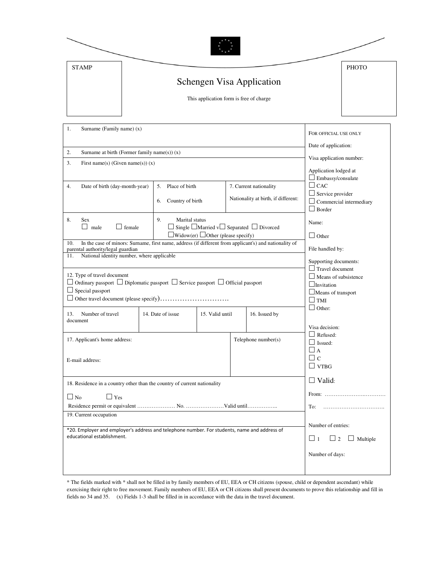| <b>STAMP</b> |                                         | <b>PHOTO</b> |
|--------------|-----------------------------------------|--------------|
|              | Schengen Visa Application               |              |
|              | This application form is free of charge |              |

| 1.<br>Surname (Family name) $(x)$                                                                                                                              |                                                                                                                                                                                  |                        |                 |                       | FOR OFFICIAL USE ONLY                                           |                                                                                                                       |
|----------------------------------------------------------------------------------------------------------------------------------------------------------------|----------------------------------------------------------------------------------------------------------------------------------------------------------------------------------|------------------------|-----------------|-----------------------|-----------------------------------------------------------------|-----------------------------------------------------------------------------------------------------------------------|
|                                                                                                                                                                |                                                                                                                                                                                  |                        |                 |                       |                                                                 | Date of application:                                                                                                  |
| Surname at birth (Former family name(s)) (x)<br>2.                                                                                                             |                                                                                                                                                                                  |                        |                 |                       |                                                                 | Visa application number:                                                                                              |
| 3.<br>First name(s) (Given name(s)) $(x)$                                                                                                                      |                                                                                                                                                                                  |                        |                 |                       |                                                                 | Application lodged at<br>$\Box$ Embassy/consulate                                                                     |
| 4.                                                                                                                                                             | Date of birth (day-month-year)                                                                                                                                                   | 5. Place of birth      |                 |                       | 7. Current nationality                                          | $\Box$ CAC                                                                                                            |
|                                                                                                                                                                |                                                                                                                                                                                  | Country of birth<br>6. |                 |                       | Nationality at birth, if different:                             | $\Box$ Service provider<br>$\Box$ Commercial intermediary<br>$\Box$ Border                                            |
| 8.                                                                                                                                                             | 9.<br>Marital status<br>Sex<br>$\Box$ male<br>$\Box$ Single $\Box$ Married v $\Box$ Separated $\Box$ Divorced<br>$\Box$ female<br>$\Box$ Widow(er) $\Box$ Other (please specify) |                        |                 |                       | Name:                                                           |                                                                                                                       |
| 10.                                                                                                                                                            | In the case of minors: Surname, first name, address (if different from applicant's) and nationality of                                                                           |                        |                 |                       |                                                                 | $\Box$ Other                                                                                                          |
|                                                                                                                                                                | parental authority/legal guardian                                                                                                                                                |                        |                 |                       |                                                                 | File handled by:                                                                                                      |
| 11.                                                                                                                                                            | National identity number, where applicable                                                                                                                                       |                        |                 |                       |                                                                 | Supporting documents:                                                                                                 |
| 12. Type of travel document<br>$\Box$ Ordinary passport $\Box$ Diplomatic passport $\Box$ Service passport $\Box$ Official passport<br>$\Box$ Special passport |                                                                                                                                                                                  |                        |                 |                       |                                                                 | $\Box$ Travel document<br>$\Box$ Means of subsistence<br>$\Box$ Invitation<br>$\Box$ Means of transport<br>$\Box$ TMI |
| 13.<br>document                                                                                                                                                | Number of travel                                                                                                                                                                 | 14. Date of issue      | 15. Valid until |                       | 16. Issued by                                                   | $\Box$ Other:                                                                                                         |
| 17. Applicant's home address:                                                                                                                                  |                                                                                                                                                                                  |                        |                 | Telephone $number(s)$ | Visa decision:<br>$\Box$ Refused:<br>$\Box$ Issued:<br>$\Box$ A |                                                                                                                       |
| E-mail address:                                                                                                                                                |                                                                                                                                                                                  |                        |                 |                       | $\Box$ $c$<br>$\Box$ VTBG                                       |                                                                                                                       |
| 18. Residence in a country other than the country of current nationality                                                                                       |                                                                                                                                                                                  |                        |                 |                       |                                                                 | $\Box$ Valid:                                                                                                         |
| $\Box$ No<br>$\square$ Yes                                                                                                                                     |                                                                                                                                                                                  |                        |                 |                       | From:                                                           |                                                                                                                       |
|                                                                                                                                                                |                                                                                                                                                                                  |                        |                 |                       | To:                                                             |                                                                                                                       |
| 19. Current occupation                                                                                                                                         |                                                                                                                                                                                  |                        |                 |                       |                                                                 | Number of entries:                                                                                                    |
| *20. Employer and employer's address and telephone number. For students, name and address of<br>educational establishment.                                     |                                                                                                                                                                                  |                        |                 |                       | $\Box$ 1<br>$\Box$ Multiple<br>$\sqcup$ 2                       |                                                                                                                       |
|                                                                                                                                                                |                                                                                                                                                                                  |                        |                 |                       | Number of days:                                                 |                                                                                                                       |
|                                                                                                                                                                |                                                                                                                                                                                  |                        |                 |                       |                                                                 |                                                                                                                       |

\* The fields marked with \* shall not be filled in by family members of EU, EEA or CH citizens (spouse, child or dependent ascendant) while exercising their right to free movement. Family members of EU, EEA or CH citizens shall present documents to prove this relationship and fill in fields no 34 and 35. (x) Fields 1-3 shall be filled in in accordance with the data in the travel document.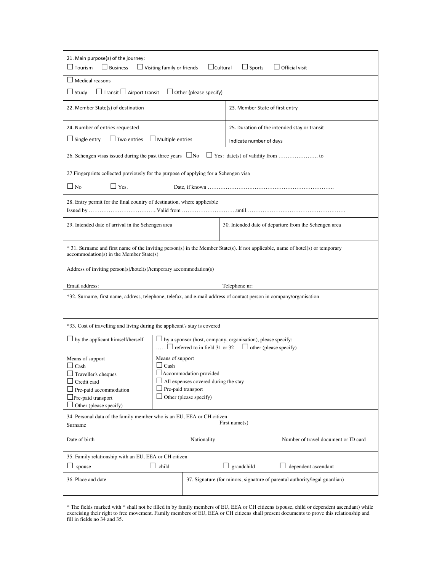| 21. Main purpose(s) of the journey:<br>$\Box$ Tourism<br>$\Box$ Business<br>$\Box$ Visiting family or friends<br>$\Box$ Cultural<br>$\Box$ Sports<br>$\Box$ Official visit                                                                      |                                                                                                                                          |                               |                 |                                                                            |  |  |
|-------------------------------------------------------------------------------------------------------------------------------------------------------------------------------------------------------------------------------------------------|------------------------------------------------------------------------------------------------------------------------------------------|-------------------------------|-----------------|----------------------------------------------------------------------------|--|--|
| <b>Medical reasons</b>                                                                                                                                                                                                                          |                                                                                                                                          |                               |                 |                                                                            |  |  |
| $\Box$ Transit $\Box$ Airport transit<br>$\Box$ Study                                                                                                                                                                                           |                                                                                                                                          | $\Box$ Other (please specify) |                 |                                                                            |  |  |
| 22. Member State(s) of destination<br>23. Member State of first entry                                                                                                                                                                           |                                                                                                                                          |                               |                 |                                                                            |  |  |
| 24. Number of entries requested                                                                                                                                                                                                                 |                                                                                                                                          |                               |                 | 25. Duration of the intended stay or transit                               |  |  |
| $\Box$ Single entry<br>$\Box$ Two entries                                                                                                                                                                                                       | $\Box$ Multiple entries                                                                                                                  | Indicate number of days       |                 |                                                                            |  |  |
| 26. Schengen visas issued during the past three years $\Box$ No                                                                                                                                                                                 |                                                                                                                                          |                               |                 |                                                                            |  |  |
| 27. Fingerprints collected previously for the purpose of applying for a Schengen visa                                                                                                                                                           |                                                                                                                                          |                               |                 |                                                                            |  |  |
| $\Box$ Yes.<br>$\Box$ No                                                                                                                                                                                                                        |                                                                                                                                          |                               |                 |                                                                            |  |  |
| 28. Entry permit for the final country of destination, where applicable                                                                                                                                                                         |                                                                                                                                          |                               |                 |                                                                            |  |  |
|                                                                                                                                                                                                                                                 | 29. Intended date of arrival in the Schengen area<br>30. Intended date of departure from the Schengen area                               |                               |                 |                                                                            |  |  |
| * 31. Surname and first name of the inviting person(s) in the Member State(s). If not applicable, name of hotel(s) or temporary<br>accommodation(s) in the Member State(s)<br>Address of inviting person(s)/hotel(s)/temporary accommodation(s) |                                                                                                                                          |                               |                 |                                                                            |  |  |
| Email address:                                                                                                                                                                                                                                  |                                                                                                                                          |                               | Telephone nr:   |                                                                            |  |  |
| *32. Surname, first name, address, telephone, telefax, and e-mail address of contact person in company/organisation                                                                                                                             |                                                                                                                                          |                               |                 |                                                                            |  |  |
|                                                                                                                                                                                                                                                 |                                                                                                                                          |                               |                 |                                                                            |  |  |
| *33. Cost of travelling and living during the applicant's stay is covered                                                                                                                                                                       |                                                                                                                                          |                               |                 |                                                                            |  |  |
| $\Box$ by the applicant himself/herself                                                                                                                                                                                                         | $\Box$ by a sponsor (host, company, organisation), please specify:<br>$\Box$ referred to in field 31 or 32 $\Box$ other (please specify) |                               |                 |                                                                            |  |  |
| Means of support<br>Means of support                                                                                                                                                                                                            |                                                                                                                                          |                               |                 |                                                                            |  |  |
| $\Box$ Cash<br>$\Box$ Traveller's cheques                                                                                                                                                                                                       | $\Box$ Cash<br>Accommodation provided                                                                                                    |                               |                 |                                                                            |  |  |
| $\Box$ Credit card                                                                                                                                                                                                                              | $\Box$ All expenses covered during the stay                                                                                              |                               |                 |                                                                            |  |  |
| $\Box$ Pre-paid accommodation                                                                                                                                                                                                                   | $\Box$ Pre-paid transport                                                                                                                |                               |                 |                                                                            |  |  |
| $\Box$ Pre-paid transport                                                                                                                                                                                                                       |                                                                                                                                          | $\Box$ Other (please specify) |                 |                                                                            |  |  |
| Other (please specify)                                                                                                                                                                                                                          |                                                                                                                                          |                               |                 |                                                                            |  |  |
| 34. Personal data of the family member who is an EU, EEA or CH citizen<br>First name $(s)$<br>Surname                                                                                                                                           |                                                                                                                                          |                               |                 |                                                                            |  |  |
| Date of birth                                                                                                                                                                                                                                   |                                                                                                                                          | Nationality                   |                 | Number of travel document or ID card                                       |  |  |
| 35. Family relationship with an EU, EEA or CH citizen                                                                                                                                                                                           |                                                                                                                                          |                               |                 |                                                                            |  |  |
| spouse<br>ப                                                                                                                                                                                                                                     | $\Box$ child                                                                                                                             |                               | grandchild<br>ப | dependent ascendant                                                        |  |  |
| 36. Place and date                                                                                                                                                                                                                              |                                                                                                                                          |                               |                 | 37. Signature (for minors, signature of parental authority/legal guardian) |  |  |

\* The fields marked with \* shall not be filled in by family members of EU, EEA or CH citizens (spouse, child or dependent ascendant) while exercising their right to free movement. Family members of EU, EEA or CH citizens shall present documents to prove this relationship and fill in fields no 34 and 35.